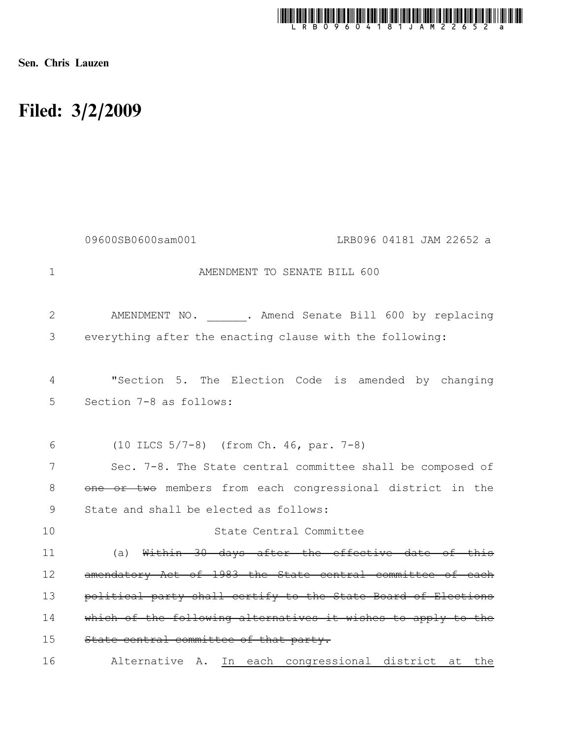

Sen. Chris Lauzen

# Filed: 3/2/2009

|              | 09600SB0600sam001<br>LRB096 04181 JAM 22652 a                                   |
|--------------|---------------------------------------------------------------------------------|
| $\mathbf 1$  | AMENDMENT TO SENATE BILL 600                                                    |
| $\mathbf{2}$ | AMENDMENT NO. . Amend Senate Bill 600 by replacing                              |
| 3            | everything after the enacting clause with the following:                        |
| 4<br>5       | "Section 5. The Election Code is amended by changing<br>Section 7-8 as follows: |
| 6            | (10 ILCS 5/7-8) (from Ch. 46, par. 7-8)                                         |
| 7            | Sec. 7-8. The State central committee shall be composed of                      |
| 8            | one or two members from each congressional district in the                      |
| 9            | State and shall be elected as follows:                                          |
| 10           | State Central Committee                                                         |
| 11           | (a) Within 30 days after the effective date of this                             |
| 12           | amendatory Act of 1983 the State central committee of each                      |
| 13           | political party shall certify to the State Board of Elections                   |
| 14           | which of the following alternatives it wishes to apply to the                   |
| 15           | State central committee of that party.                                          |
| 16           | In each congressional district at the<br>Alternative A.                         |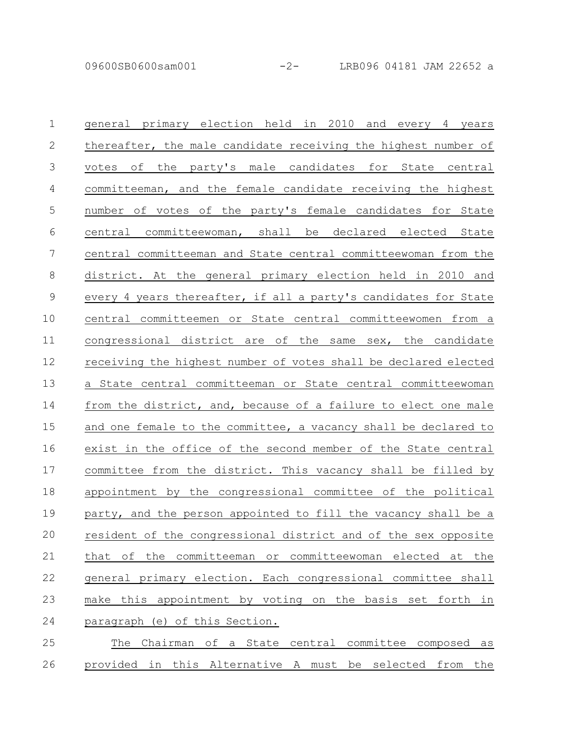| $\mathbf 1$    | general primary election held in 2010 and every 4 years         |
|----------------|-----------------------------------------------------------------|
| 2              | thereafter, the male candidate receiving the highest number of  |
| 3              | votes of the party's male candidates for State central          |
| 4              | committeeman, and the female candidate receiving the highest    |
| 5              | number of votes of the party's female candidates for State      |
| 6              | central committeewoman, shall be declared elected State         |
| $\overline{7}$ | central committeeman and State central committeewoman from the  |
| $\,8\,$        | district. At the general primary election held in 2010 and      |
| $\mathsf 9$    | every 4 years thereafter, if all a party's candidates for State |
| 10             | central committeemen or State central committeewomen from a     |
| 11             | congressional district are of the same sex, the candidate       |
| 12             | receiving the highest number of votes shall be declared elected |
| 13             | a State central committeeman or State central committeewoman    |
| 14             | from the district, and, because of a failure to elect one male  |
| 15             | and one female to the committee, a vacancy shall be declared to |
| 16             | exist in the office of the second member of the State central   |
| 17             | committee from the district. This vacancy shall be filled by    |
| 18             | appointment by the congressional committee of the political     |
| 19             | party, and the person appointed to fill the vacancy shall be a  |
| 20             | resident of the congressional district and of the sex opposite  |
| 21             | that of<br>the committeeman or committeewoman elected at the    |
| 22             | general primary election. Each congressional committee shall    |
| 23             | make this appointment by voting on the basis set forth in       |
| 24             | paraqraph (e) of this Section.                                  |
| 25             | The Chairman of a State central committee composed as           |

26 provided in this Alternative A must be selected from the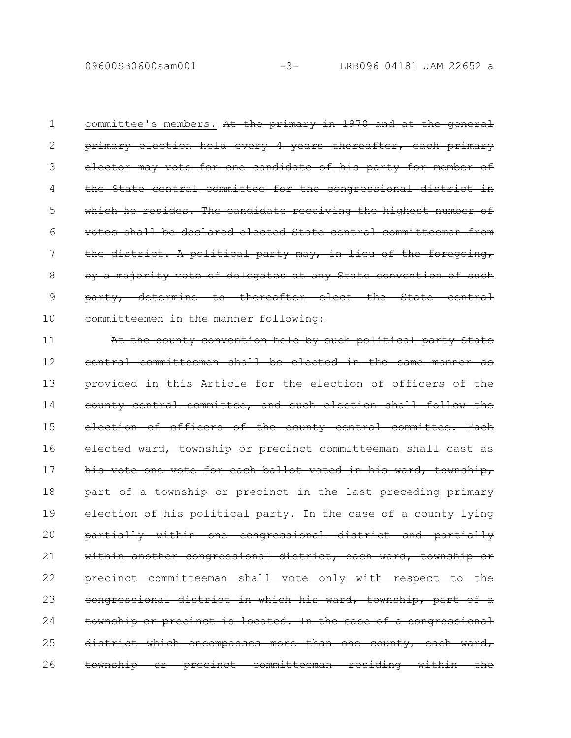committee's members. At the primary in 1970 and at the general primary election held every 4 years thereafter, each primary elector may vote for one candidate of his party for member of the State central committee for the congressional district which he resides. The candidate receiving the highest number votes shall be declared elected State central committeeman the district. A political party may, in lieu of the foregoing, by a majority vote of delegates at any State convention of such party, determine to thereafter elect the State committeemen in the manner following: 1 2 3 4 5 6 7 8 9 10

At the county convention held by such political party State central committeemen shall be elected in the same manner provided in this Article for the election of officers of county central committee, and such election shall follow election of officers of the county central committee elected ward, township or precinct committeeman shall cast as his vote one vote for each ballot voted in his ward, township, part of a township or precinct in the last preceding primary election of his political party. In the case of a county lying partially within one congressional district and partially within another congressional district, each ward, township or precinct committeeman shall vote only with respect to the congressional district in which his ward, township, part township or precinct is located. In the case of a congressional district which encompasses more than one county, each ward, township or precinct committeeman residing within the 11 12 13 14 15 16 17 18 19 20 21 22 23 24 25 26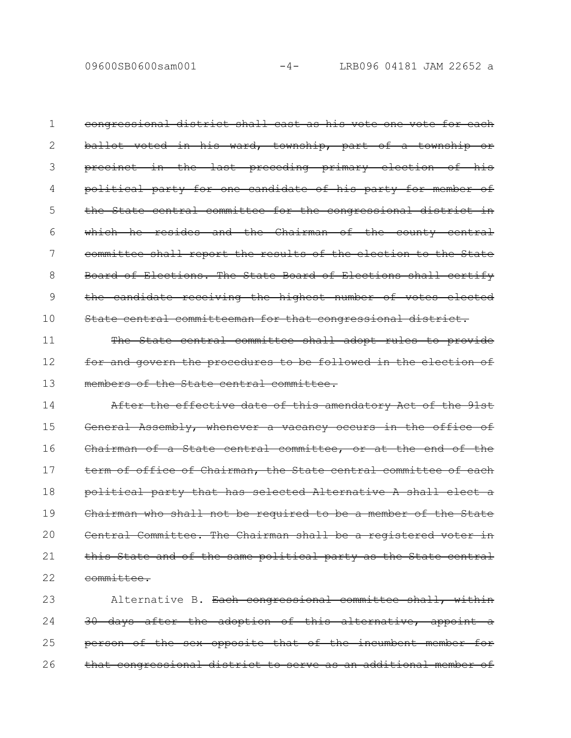09600SB0600sam001 -4- LRB096 04181 JAM 22652 a

congressional district shall cast as his vote one vote for each ballot voted in his ward, township, part of a township or precinct in the last preceding primary election of his political party for one candidate of his party for member the State central committee for the congressional district which he resides and the Chairman of the county central committee shall report the results of the election to the State Board of Elections. The State Board of Elections shall certify the candidate receiving the highest number of votes elected State central committeeman for that congressional district. 1 2 3 4 5 6 7 8 9 10

The State central committee shall adopt rules to provide for and govern the procedures to be followed in the election of members of the State central committee. 11 12 13

After the effective date of this amendatory Act of the 91st General Assembly, whenever a vacancy occurs in the office Chairman of a State central committee, or at the end of the term of office of Chairman, the State central committee of each political party that has selected Alternative A shall elect a Chairman who shall not be required to be a member of the State Central Committee. The Chairman shall be a registered this State and of the same political party as the State central committee. 14 15 16 17 18 19 20 21 22

Alternative B. Each congressional committee shall, within 30 days after the adoption of this alternative, appoint person of the sex opposite that of the incumbent that congressional district to serve as an additional member of 23 24 25 26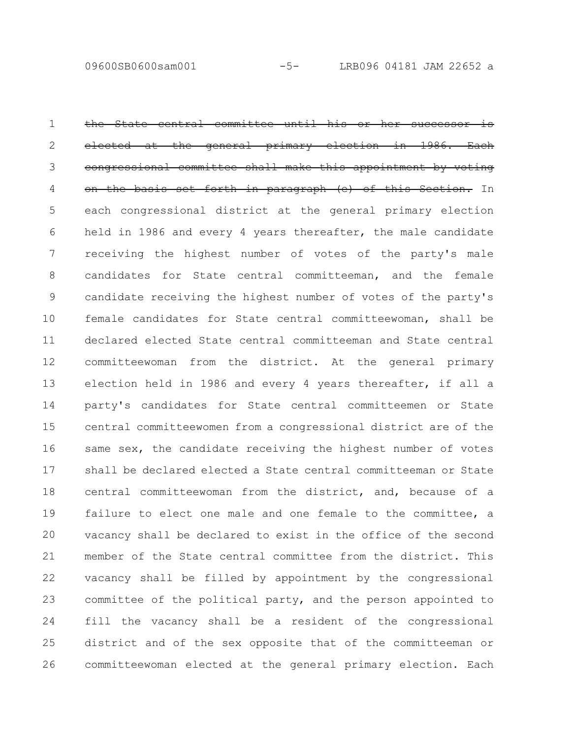the State central committee until his or elected at the general primary election in 1986. congressional committee shall make this appointment by voting the basis set forth in paragraph (e) of this Section. In each congressional district at the general primary election held in 1986 and every 4 years thereafter, the male candidate receiving the highest number of votes of the party's male candidates for State central committeeman, and the female candidate receiving the highest number of votes of the party's female candidates for State central committeewoman, shall be declared elected State central committeeman and State central committeewoman from the district. At the general primary election held in 1986 and every 4 years thereafter, if all a party's candidates for State central committeemen or State central committeewomen from a congressional district are of the same sex, the candidate receiving the highest number of votes shall be declared elected a State central committeeman or State central committeewoman from the district, and, because of a failure to elect one male and one female to the committee, a vacancy shall be declared to exist in the office of the second member of the State central committee from the district. This vacancy shall be filled by appointment by the congressional committee of the political party, and the person appointed to fill the vacancy shall be a resident of the congressional district and of the sex opposite that of the committeeman or committeewoman elected at the general primary election. Each 1 2 3 4 5 6 7 8 9 10 11 12 13 14 15 16 17 18 19 20 21 22 23 24 25 26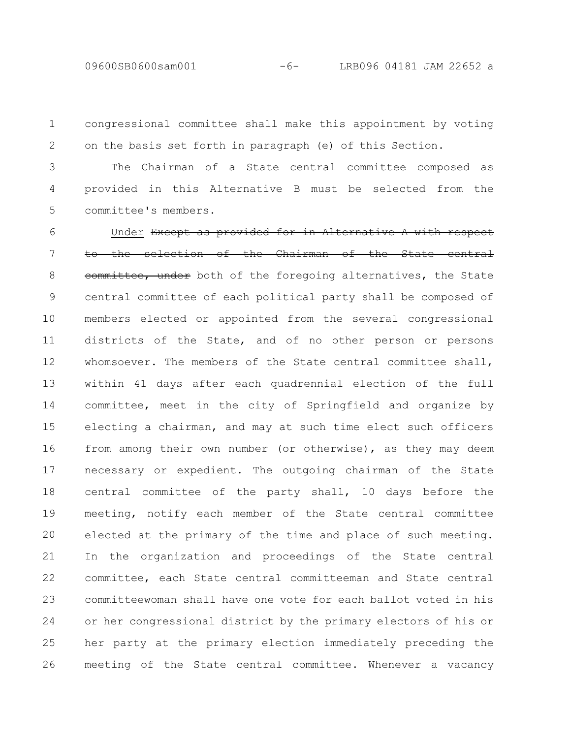09600SB0600sam001 -6- LRB096 04181 JAM 22652 a

congressional committee shall make this appointment by voting on the basis set forth in paragraph (e) of this Section. 1 2

The Chairman of a State central committee composed as provided in this Alternative B must be selected from the committee's members. 3 4 5

Under Except as provided for in Alternative to the selection of the Chairman of the State central eommittee, under both of the foregoing alternatives, the State central committee of each political party shall be composed of members elected or appointed from the several congressional districts of the State, and of no other person or persons whomsoever. The members of the State central committee shall, within 41 days after each quadrennial election of the full committee, meet in the city of Springfield and organize by electing a chairman, and may at such time elect such officers from among their own number (or otherwise), as they may deem necessary or expedient. The outgoing chairman of the State central committee of the party shall, 10 days before the meeting, notify each member of the State central committee elected at the primary of the time and place of such meeting. In the organization and proceedings of the State central committee, each State central committeeman and State central committeewoman shall have one vote for each ballot voted in his or her congressional district by the primary electors of his or her party at the primary election immediately preceding the meeting of the State central committee. Whenever a vacancy 6 7 8 9 10 11 12 13 14 15 16 17 18 19 20 21 22 23 24 25 26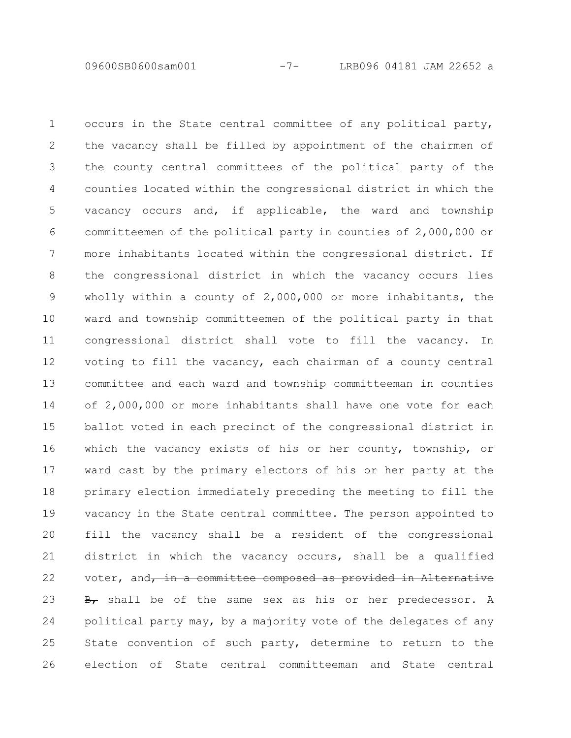occurs in the State central committee of any political party, the vacancy shall be filled by appointment of the chairmen of the county central committees of the political party of the counties located within the congressional district in which the vacancy occurs and, if applicable, the ward and township committeemen of the political party in counties of 2,000,000 or more inhabitants located within the congressional district. If the congressional district in which the vacancy occurs lies wholly within a county of 2,000,000 or more inhabitants, the ward and township committeemen of the political party in that congressional district shall vote to fill the vacancy. In voting to fill the vacancy, each chairman of a county central committee and each ward and township committeeman in counties of 2,000,000 or more inhabitants shall have one vote for each ballot voted in each precinct of the congressional district in which the vacancy exists of his or her county, township, or ward cast by the primary electors of his or her party at the primary election immediately preceding the meeting to fill the vacancy in the State central committee. The person appointed to fill the vacancy shall be a resident of the congressional district in which the vacancy occurs, shall be a qualified voter, and, in a committee composed as provided in Alternative  $\frac{B}{B}$  shall be of the same sex as his or her predecessor. A political party may, by a majority vote of the delegates of any State convention of such party, determine to return to the election of State central committeeman and State central 1 2 3 4 5 6 7 8 9 10 11 12 13 14 15 16 17 18 19 20 21 22 23 24 25 26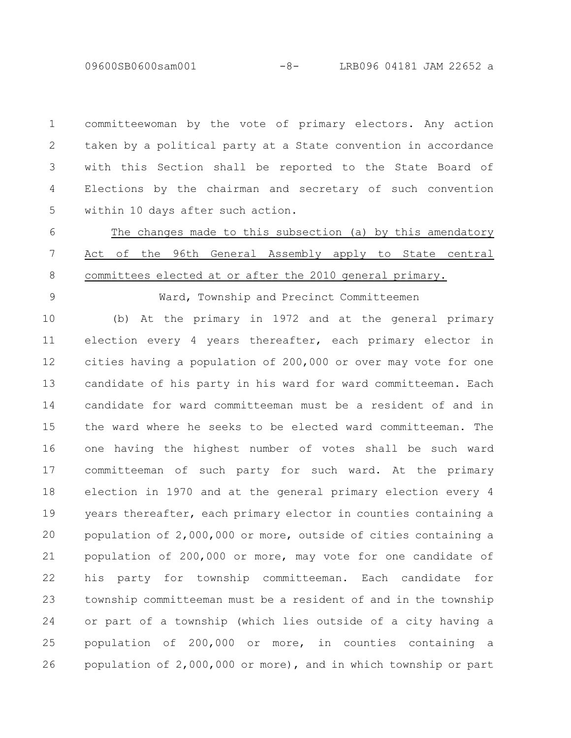09600SB0600sam001 -8- LRB096 04181 JAM 22652 a

committeewoman by the vote of primary electors. Any action taken by a political party at a State convention in accordance with this Section shall be reported to the State Board of Elections by the chairman and secretary of such convention within 10 days after such action. 1 2 3 4 5

The changes made to this subsection (a) by this amendatory Act of the 96th General Assembly apply to State central committees elected at or after the 2010 general primary. 6 7 8

9

Ward, Township and Precinct Committeemen

(b) At the primary in 1972 and at the general primary election every 4 years thereafter, each primary elector in cities having a population of 200,000 or over may vote for one candidate of his party in his ward for ward committeeman. Each candidate for ward committeeman must be a resident of and in the ward where he seeks to be elected ward committeeman. The one having the highest number of votes shall be such ward committeeman of such party for such ward. At the primary election in 1970 and at the general primary election every 4 years thereafter, each primary elector in counties containing a population of 2,000,000 or more, outside of cities containing a population of 200,000 or more, may vote for one candidate of his party for township committeeman. Each candidate for township committeeman must be a resident of and in the township or part of a township (which lies outside of a city having a population of 200,000 or more, in counties containing a population of 2,000,000 or more), and in which township or part 10 11 12 13 14 15 16 17 18 19 20 21 22 23 24 25 26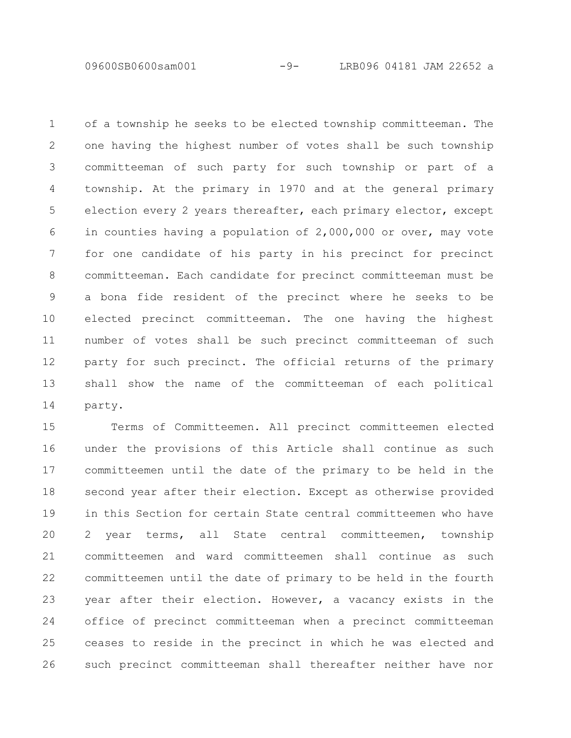09600SB0600sam001 -9- LRB096 04181 JAM 22652 a

of a township he seeks to be elected township committeeman. The one having the highest number of votes shall be such township committeeman of such party for such township or part of a township. At the primary in 1970 and at the general primary election every 2 years thereafter, each primary elector, except in counties having a population of 2,000,000 or over, may vote for one candidate of his party in his precinct for precinct committeeman. Each candidate for precinct committeeman must be a bona fide resident of the precinct where he seeks to be elected precinct committeeman. The one having the highest number of votes shall be such precinct committeeman of such party for such precinct. The official returns of the primary shall show the name of the committeeman of each political party. 1 2 3 4 5 6 7 8 9 10 11 12 13 14

Terms of Committeemen. All precinct committeemen elected under the provisions of this Article shall continue as such committeemen until the date of the primary to be held in the second year after their election. Except as otherwise provided in this Section for certain State central committeemen who have 2 year terms, all State central committeemen, township committeemen and ward committeemen shall continue as such committeemen until the date of primary to be held in the fourth year after their election. However, a vacancy exists in the office of precinct committeeman when a precinct committeeman ceases to reside in the precinct in which he was elected and such precinct committeeman shall thereafter neither have nor 15 16 17 18 19 20 21 22 23 24 25 26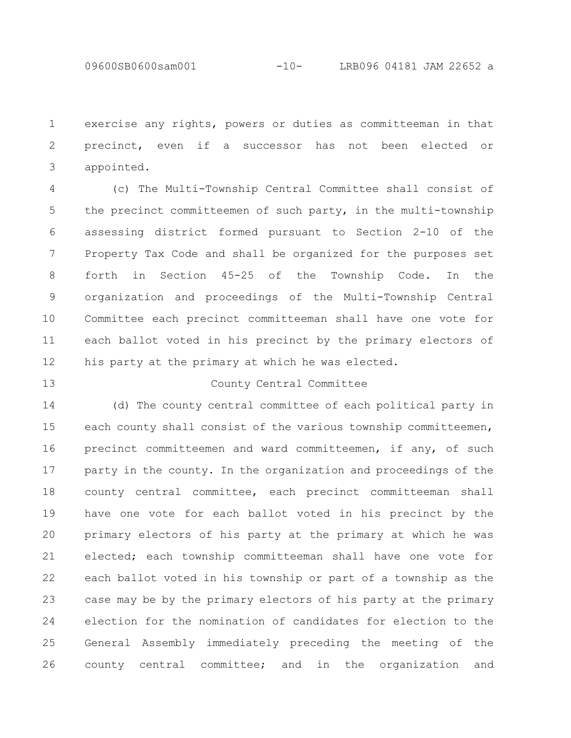09600SB0600sam001 -10- LRB096 04181 JAM 22652 a

exercise any rights, powers or duties as committeeman in that precinct, even if a successor has not been elected or appointed. 1 2 3

(c) The Multi-Township Central Committee shall consist of the precinct committeemen of such party, in the multi-township assessing district formed pursuant to Section 2-10 of the Property Tax Code and shall be organized for the purposes set forth in Section 45-25 of the Township Code. In the organization and proceedings of the Multi-Township Central Committee each precinct committeeman shall have one vote for each ballot voted in his precinct by the primary electors of his party at the primary at which he was elected. 4 5 6 7 8 9 10 11 12

#### 13

## County Central Committee

(d) The county central committee of each political party in each county shall consist of the various township committeemen, precinct committeemen and ward committeemen, if any, of such party in the county. In the organization and proceedings of the county central committee, each precinct committeeman shall have one vote for each ballot voted in his precinct by the primary electors of his party at the primary at which he was elected; each township committeeman shall have one vote for each ballot voted in his township or part of a township as the case may be by the primary electors of his party at the primary election for the nomination of candidates for election to the General Assembly immediately preceding the meeting of the county central committee; and in the organization and 14 15 16 17 18 19 20 21 22 23 24 25 26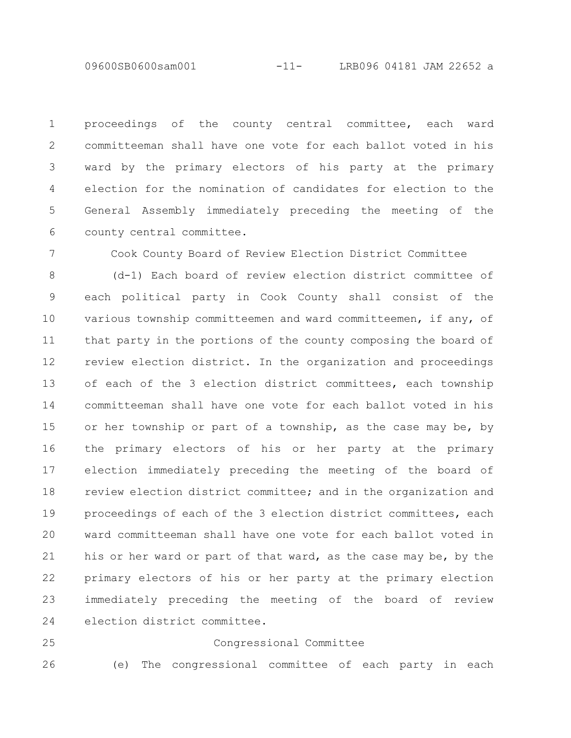09600SB0600sam001 -11- LRB096 04181 JAM 22652 a

proceedings of the county central committee, each ward committeeman shall have one vote for each ballot voted in his ward by the primary electors of his party at the primary election for the nomination of candidates for election to the General Assembly immediately preceding the meeting of the county central committee. 1 2 3 4 5 6

Cook County Board of Review Election District Committee

(d-1) Each board of review election district committee of each political party in Cook County shall consist of the various township committeemen and ward committeemen, if any, of that party in the portions of the county composing the board of review election district. In the organization and proceedings of each of the 3 election district committees, each township committeeman shall have one vote for each ballot voted in his or her township or part of a township, as the case may be, by the primary electors of his or her party at the primary election immediately preceding the meeting of the board of review election district committee; and in the organization and proceedings of each of the 3 election district committees, each ward committeeman shall have one vote for each ballot voted in his or her ward or part of that ward, as the case may be, by the primary electors of his or her party at the primary election immediately preceding the meeting of the board of review election district committee. 8 9 10 11 12 13 14 15 16 17 18 19 20 21 22 23 24

25

26

7

Congressional Committee

(e) The congressional committee of each party in each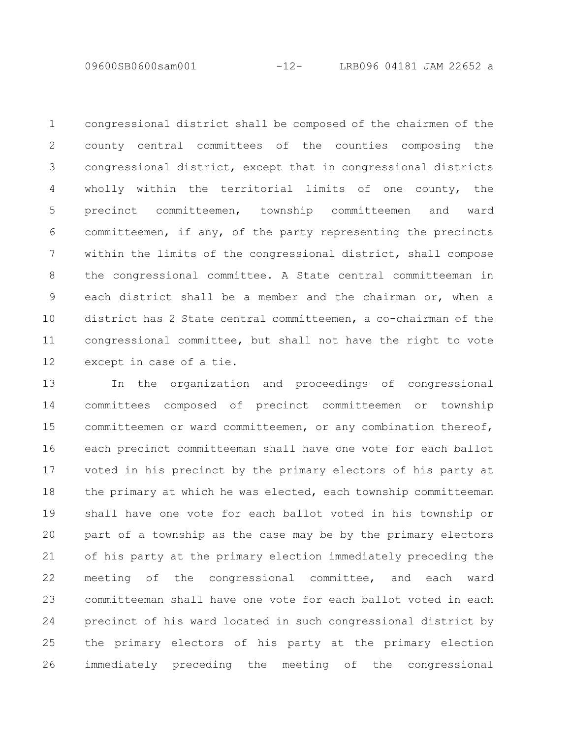09600SB0600sam001 -12- LRB096 04181 JAM 22652 a

congressional district shall be composed of the chairmen of the county central committees of the counties composing the congressional district, except that in congressional districts wholly within the territorial limits of one county, the precinct committeemen, township committeemen and ward committeemen, if any, of the party representing the precincts within the limits of the congressional district, shall compose the congressional committee. A State central committeeman in each district shall be a member and the chairman or, when a district has 2 State central committeemen, a co-chairman of the congressional committee, but shall not have the right to vote except in case of a tie. 1 2 3 4 5 6 7 8 9 10 11 12

In the organization and proceedings of congressional committees composed of precinct committeemen or township committeemen or ward committeemen, or any combination thereof, each precinct committeeman shall have one vote for each ballot voted in his precinct by the primary electors of his party at the primary at which he was elected, each township committeeman shall have one vote for each ballot voted in his township or part of a township as the case may be by the primary electors of his party at the primary election immediately preceding the meeting of the congressional committee, and each ward committeeman shall have one vote for each ballot voted in each precinct of his ward located in such congressional district by the primary electors of his party at the primary election immediately preceding the meeting of the congressional 13 14 15 16 17 18 19 20 21 22 23 24 25 26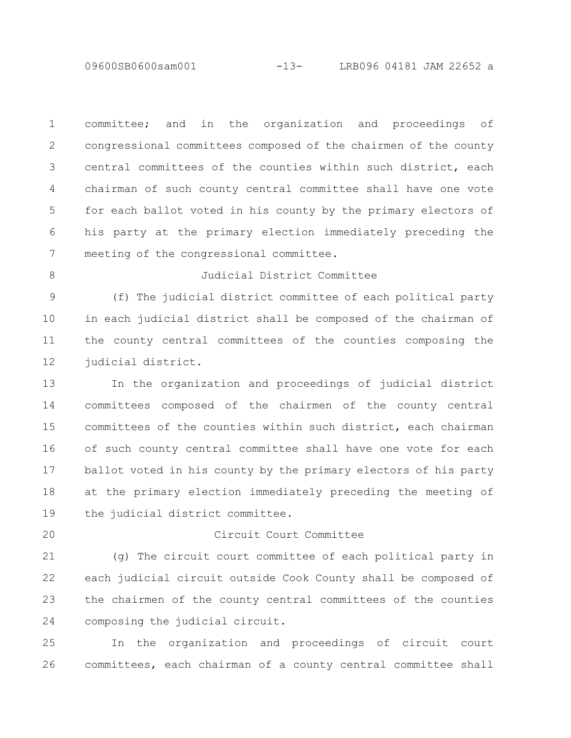09600SB0600sam001 -13- LRB096 04181 JAM 22652 a

committee; and in the organization and proceedings of congressional committees composed of the chairmen of the county central committees of the counties within such district, each chairman of such county central committee shall have one vote for each ballot voted in his county by the primary electors of his party at the primary election immediately preceding the meeting of the congressional committee. 1 2 3 4 5 6 7

8

#### Judicial District Committee

(f) The judicial district committee of each political party in each judicial district shall be composed of the chairman of the county central committees of the counties composing the judicial district. 9 10 11 12

In the organization and proceedings of judicial district committees composed of the chairmen of the county central committees of the counties within such district, each chairman of such county central committee shall have one vote for each ballot voted in his county by the primary electors of his party at the primary election immediately preceding the meeting of the judicial district committee. 13 14 15 16 17 18 19

20

## Circuit Court Committee

(g) The circuit court committee of each political party in each judicial circuit outside Cook County shall be composed of the chairmen of the county central committees of the counties composing the judicial circuit. 21 22 23 24

In the organization and proceedings of circuit court committees, each chairman of a county central committee shall 25 26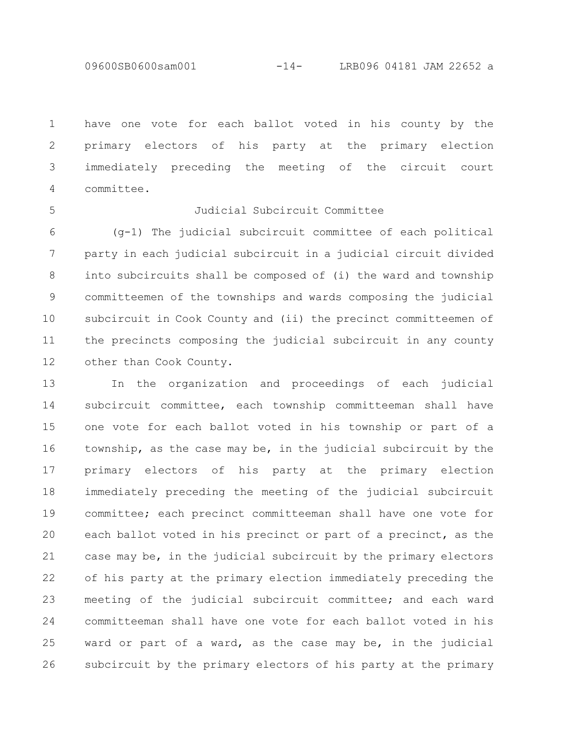09600SB0600sam001 -14- LRB096 04181 JAM 22652 a

have one vote for each ballot voted in his county by the primary electors of his party at the primary election immediately preceding the meeting of the circuit court committee. 1 2 3 4

5

## Judicial Subcircuit Committee

(g-1) The judicial subcircuit committee of each political party in each judicial subcircuit in a judicial circuit divided into subcircuits shall be composed of (i) the ward and township committeemen of the townships and wards composing the judicial subcircuit in Cook County and (ii) the precinct committeemen of the precincts composing the judicial subcircuit in any county other than Cook County. 6 7 8 9 10 11 12

In the organization and proceedings of each judicial subcircuit committee, each township committeeman shall have one vote for each ballot voted in his township or part of a township, as the case may be, in the judicial subcircuit by the primary electors of his party at the primary election immediately preceding the meeting of the judicial subcircuit committee; each precinct committeeman shall have one vote for each ballot voted in his precinct or part of a precinct, as the case may be, in the judicial subcircuit by the primary electors of his party at the primary election immediately preceding the meeting of the judicial subcircuit committee; and each ward committeeman shall have one vote for each ballot voted in his ward or part of a ward, as the case may be, in the judicial subcircuit by the primary electors of his party at the primary 13 14 15 16 17 18 19 20 21 22 23 24 25 26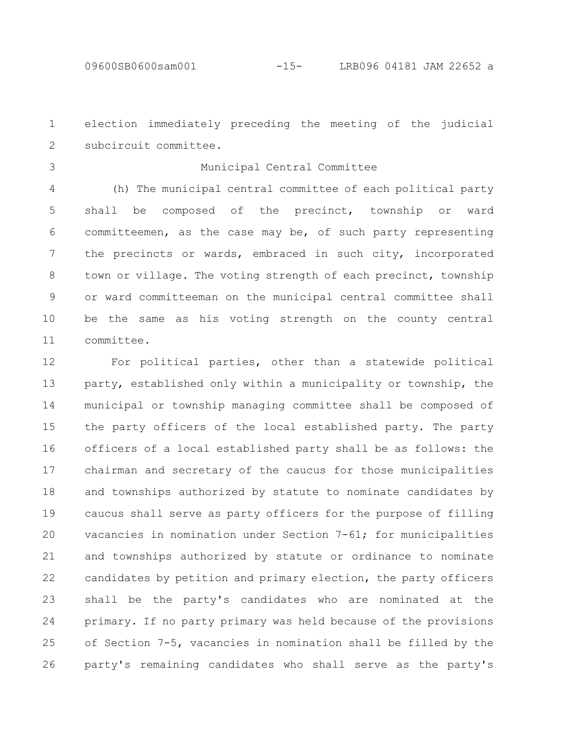election immediately preceding the meeting of the judicial subcircuit committee. 1 2

3

### Municipal Central Committee

(h) The municipal central committee of each political party shall be composed of the precinct, township or ward committeemen, as the case may be, of such party representing the precincts or wards, embraced in such city, incorporated town or village. The voting strength of each precinct, township or ward committeeman on the municipal central committee shall be the same as his voting strength on the county central committee. 4 5 6 7 8 9 10 11

For political parties, other than a statewide political party, established only within a municipality or township, the municipal or township managing committee shall be composed of the party officers of the local established party. The party officers of a local established party shall be as follows: the chairman and secretary of the caucus for those municipalities and townships authorized by statute to nominate candidates by caucus shall serve as party officers for the purpose of filling vacancies in nomination under Section 7-61; for municipalities and townships authorized by statute or ordinance to nominate candidates by petition and primary election, the party officers shall be the party's candidates who are nominated at the primary. If no party primary was held because of the provisions of Section 7-5, vacancies in nomination shall be filled by the party's remaining candidates who shall serve as the party's 12 13 14 15 16 17 18 19 20 21 22 23 24 25 26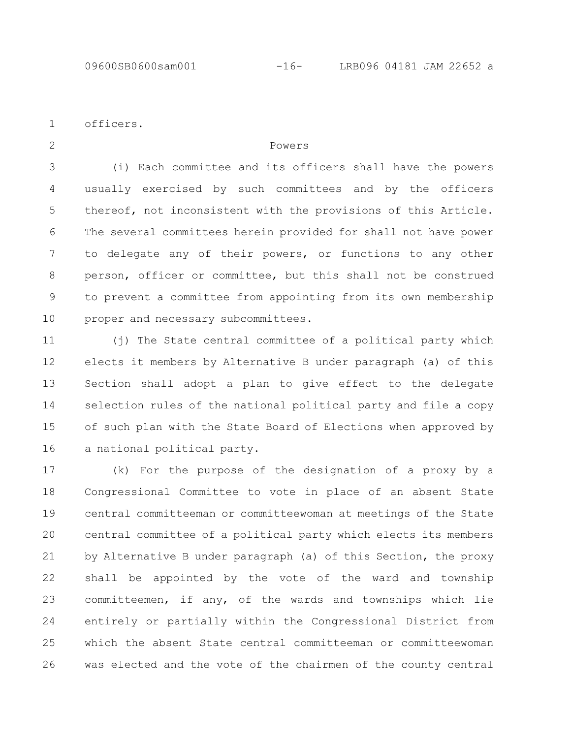officers. 1

2

#### Powers

(i) Each committee and its officers shall have the powers usually exercised by such committees and by the officers thereof, not inconsistent with the provisions of this Article. The several committees herein provided for shall not have power to delegate any of their powers, or functions to any other person, officer or committee, but this shall not be construed to prevent a committee from appointing from its own membership proper and necessary subcommittees. 3 4 5 6 7 8 9 10

(j) The State central committee of a political party which elects it members by Alternative B under paragraph (a) of this Section shall adopt a plan to give effect to the delegate selection rules of the national political party and file a copy of such plan with the State Board of Elections when approved by a national political party. 11 12 13 14 15 16

(k) For the purpose of the designation of a proxy by a Congressional Committee to vote in place of an absent State central committeeman or committeewoman at meetings of the State central committee of a political party which elects its members by Alternative B under paragraph (a) of this Section, the proxy shall be appointed by the vote of the ward and township committeemen, if any, of the wards and townships which lie entirely or partially within the Congressional District from which the absent State central committeeman or committeewoman was elected and the vote of the chairmen of the county central 17 18 19 20 21 22 23 24 25 26